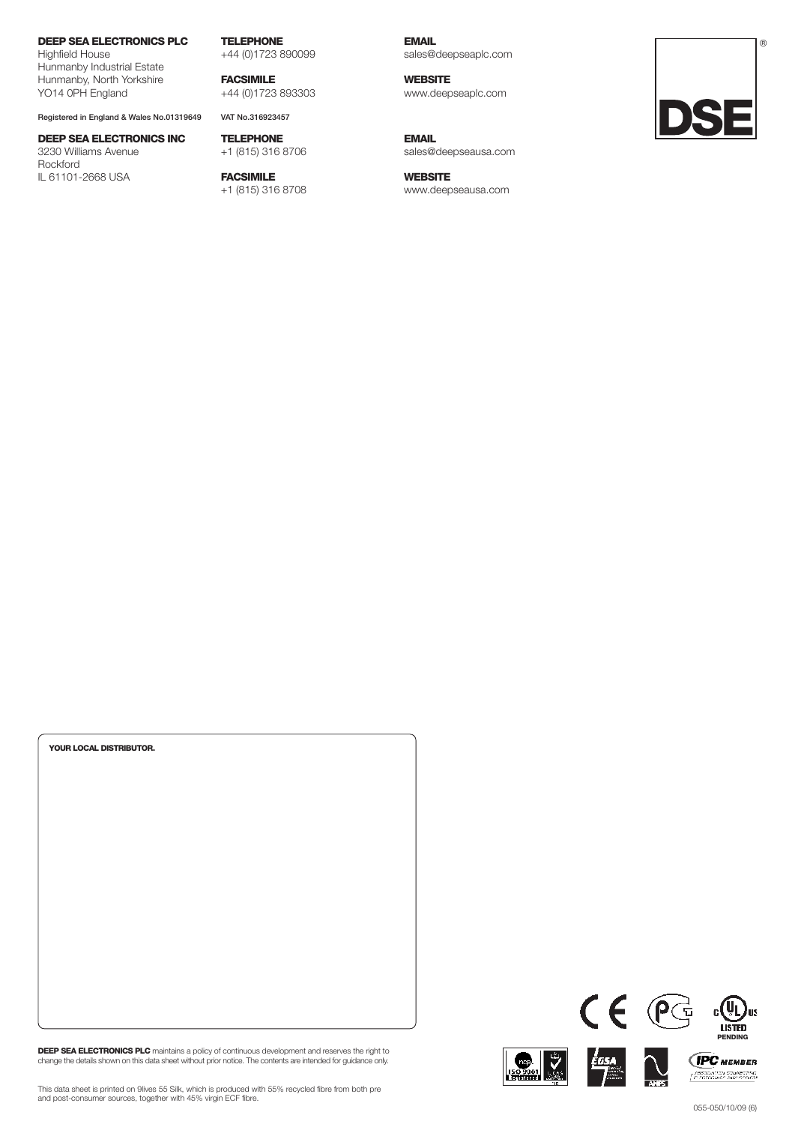# **DEEP SEA ELECTRONICS PLC**

Highfield House Hunmanby Industrial Estate Hunmanby, North Yorkshire YO14 0PH England

Registered in England & Wales No.01319649 VAT No.316923457

# **DEEP SEA ELECTRONICS INC** 3230 Williams Avenue

Rockford IL 61101-2668 USA **TELEPHONE** +44 (0)1723 890099

**FACSIMILE** +44 (0)1723 893303

**TELEPHONE** +1 (815) 316 8706

**FACSIMILE** +1 (815) 316 8708

**EMAIL** sales@deepseaplc.com

**WEBSITE** www.deepseaplc.com

**EMAIL**

sales@deepseausa.com

**WEBSITE** www.deepseausa.com



| YOUR LOCAL DISTRIBUTOR. |  |  |
|-------------------------|--|--|
|                         |  |  |
|                         |  |  |
|                         |  |  |
|                         |  |  |
|                         |  |  |
|                         |  |  |
|                         |  |  |
|                         |  |  |
|                         |  |  |
|                         |  |  |

DEEP SEA ELECTRONICS PLC maintains a policy of continuous development and reserves the right to<br>change the details shown on this data sheet without prior notice. The contents are intended for guidance only.



 $CE$ 



This data sheet is printed on 9lives 55 Silk, which is produced with 55% recycled fibre from both pre and post-consumer sources, together with 45% virgin ECF fibre.

 $\frac{1}{\sqrt{2}}$ us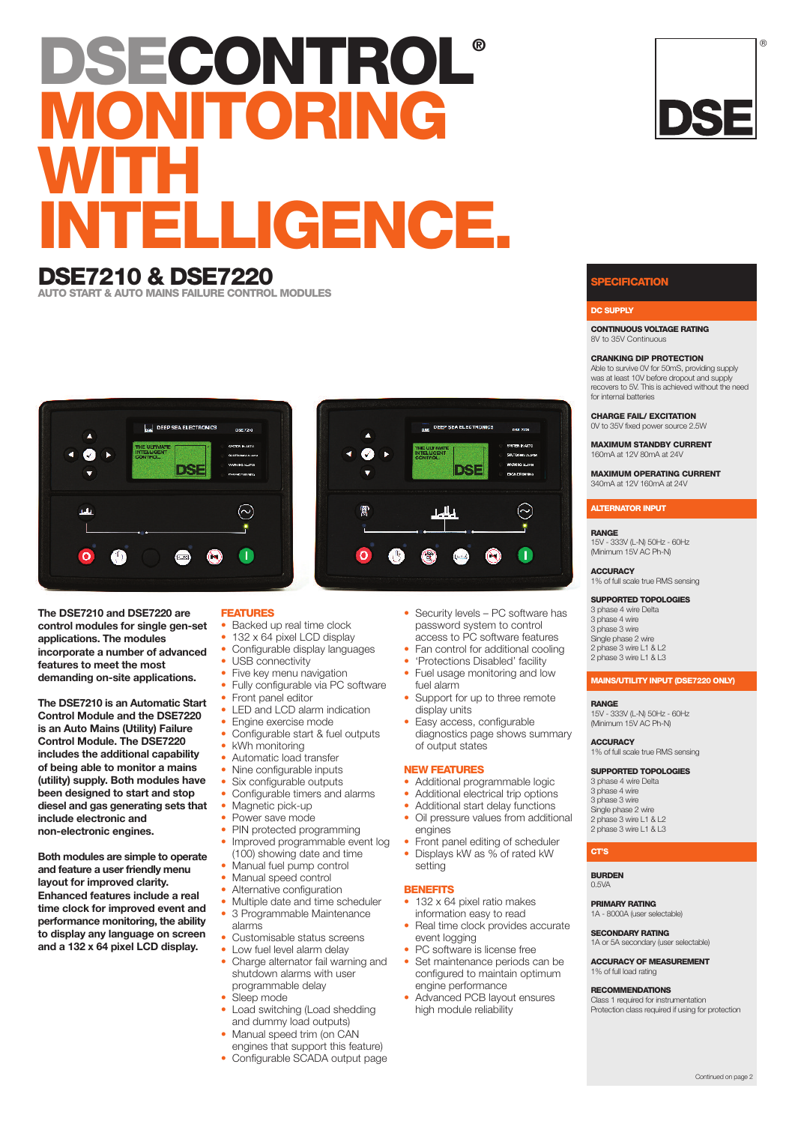# **DSECONTROL® MITORING WITH** LLIGENCE.

# **DSE7210 & DSE7220**

**AUTO START & AUTO MAINS FAILURE CONTROL MODULES**



**The DSE7210 and DSE7220 are control modules for single gen-set applications. The modules incorporate a number of advanced features to meet the most demanding on-site applications.**

**The DSE7210 is an Automatic Start Control Module and the DSE7220 is an Auto Mains (Utility) Failure Control Module. The DSE7220 includes the additional capability of being able to monitor a mains (utility) supply. Both modules have been designed to start and stop diesel and gas generating sets that include electronic and non-electronic engines.**

**Both modules are simple to operate and feature a user friendly menu layout for improved clarity. Enhanced features include a real time clock for improved event and performance monitoring, the ability to display any language on screen and a 132 x 64 pixel LCD display.**

# **FEATURES**

- Backed up real time clock
- 132 x 64 pixel LCD display
- Configurable display languages
- USB connectivity
- Five key menu navigation
- Fully configurable via PC software • Front panel editor
- 
- LED and LCD alarm indication • Engine exercise mode
- Configurable start & fuel outputs
	- kWh monitoring • Automatic load transfer
	- Nine configurable inputs
- Six configurable outputs
- Configurable timers and alarms
- Magnetic pick-up
- Power save mode
- PIN protected programming
- Improved programmable event log
- (100) showing date and time • Manual fuel pump control
- Manual speed control
- Alternative configuration
- Multiple date and time scheduler
- 3 Programmable Maintenance alarms
- Customisable status screens
- Low fuel level alarm delay
- Charge alternator fail warning and shutdown alarms with user programmable delay
- Sleep mode
- Load switching (Load shedding and dummy load outputs)
- Manual speed trim (on CAN engines that support this feature)
- Configurable SCADA output page
- 
- 
- fuel alarm
- display units
- diagnostics page shows summary of output states

# **NEW FEATURES**

- Additional programmable logic
- Additional electrical trip options
- Additional start delay functions
- Front panel editing of scheduler
- Displays kW as % of rated kW setting

## **BENEFITS**

- information easy to read Real time clock provides accurate
- 
- Set maintenance periods can be configured to maintain optimum engine performance
- Advanced PCB layout ensures high module reliability



# **DC SUPPLY**

**CONTINUOUS VOLTAGE RATING** 8V to 35V Continuous

### **CRANKING DIP PROTECTION**

Able to survive 0V for 50mS, providing supply was at least 10V before dropout and supply recovers to 5V. This is achieved without the need for internal batteries

**CHARGE FAIL/ EXCITATION** 0V to 35V fixed power source 2.5W

**MAXIMUM STANDBY CURRENT** 160mA at 12V 80mA at 24V

**MAXIMUM OPERATING CURRENT** 340mA at 12V 160mA at 24V

# **ALTERNATOR INPUT**

# **RANGE**

15V - 333V (L-N) 50Hz - 60Hz (Minimum 15V AC Ph-N)

**ACCURACY** 1% of full scale true RMS sensing

**SUPPORTED TOPOLOGIES**

 phase 4 wire Delta phase 4 wire phase 3 wire Single phase 2 wire 2 phase 3 wire L1 & L2 phase 3 wire L1 & L3

# **MAINS/UTILITY INPUT (DSE7220 ONLY)**

**RANGE** 15V - 333V (L-N) 50Hz - 60Hz (Minimum 15V AC Ph-N)

**ACCURACY** 1% of full scale true RMS sensing

# **SUPPORTED TOPOLOGIES**

 phase 4 wire Delta phase 4 wire phase 3 wire Single phase 2 wire phase 3 wire L1 & L2 2 phase 3 wire L1 & L3

# **CT'S**

**BURDEN** 0.5VA

**PRIMARY RATING** 1A - 8000A (user s

**SECONDARY RATING** 1A or 5A secondary (user selectable)

**ACCURACY OF MEASUREMENT** 1% of full load rating

## **RECOMMENDATIONS**

Class 1 required for instrumentation Protection class required if using for protection



®

❀ n  $\bigoplus$  $\odot$ • Security levels - PC software has password system to control access to PC software features

new your

DEEP SEA ELECTRO

ne.

C,

- Fan control for additional cooling
- 'Protections Disabled' facility
- Fuel usage monitoring and low
- Support for up to three remote
- Easy access, configurable

- 
- 
- Oil pressure values from additional engines
- 
- 

# • 132 x 64 pixel ratio makes

- event logging
- PC software is license free
	-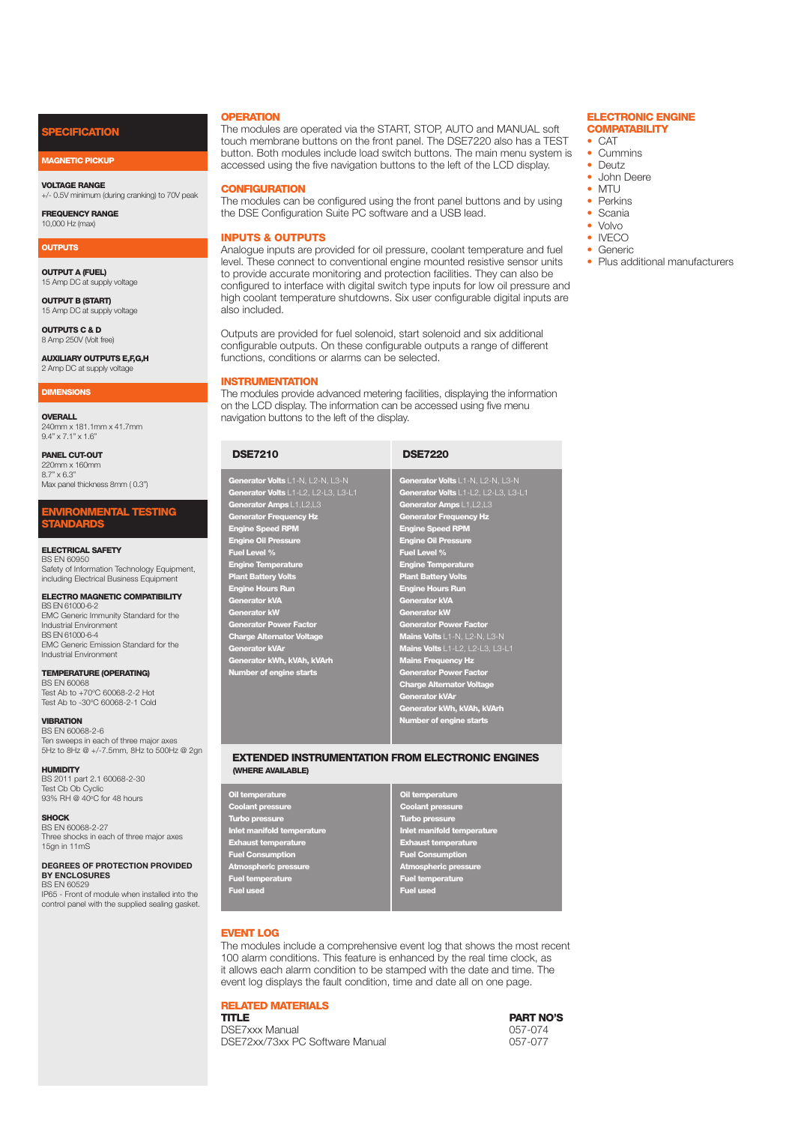# **ECIFICATION**

# **MAGNETIC PICKUP**

**VOLTAGE RANGE** +/- 0.5V minimum (during cranking) to 70V peak

**FREQUENCY RANGE** 10,000 Hz (max)

## **OUTPUTS**

**OUTPUT A (FUEL)** 15 Amp DC at supply voltage

**OUTPUT B (START)** 15 Amp DC at supply voltage

**OUTPUTS C & D** 8 Amp 250V Molt free)

**AUXILIARY OUTPUTS E,F,G,H** 2 Amp DC at supply voltage

# **DIMENSIONS**

**OVERALL** 240mm x 181.1mm x 41.7mm 9.4" x 7.1" x 1.6"

**PANEL CUT-OUT** 220mm x 160mm 8.7" x 6.3" Max panel thickness 8mm ( 0.3")

# **ENVIRONMENTAL TESTING STANDARDS**

**ELECTRICAL SAFETY**

BS EN 60950 Safety of Information Technology Equipment, including Electrical Business Equipment

# **ELECTRO MAGNETIC COMPATIBILITY**

BS EN 61000-6-2 EMC Generic Immunity Standard for the Industrial Environment BS EN 61000-6-4 EMC Generic Emission Standard for the Industrial Environment

# **TEMPERATURE (OPERATING)**

BS EN 60068 Test Ab to +70°C 60068-2-2 Hot Test Ab to -30°C 60068-2-1 Cold

# **VIBRATION**

BS EN 60068-2-6 Ten sweeps in each of three major axes 5Hz to 8Hz @ +/-7.5mm, 8Hz to 500Hz @ 2gn

# **HUMIDITY**

BS 2011 part 2.1 60068-2-30 Test Cb Ob Cyclic<br>93% RH @ 40°C for 48 hours

**SHOCK**

BS EN 60068-2-27 Three shocks in each of three major axes 15gn in 11mS

## **DEGREES OF PROTECTION PROVIDED BY ENCLOSURES** BS EN 60529

IP65 - Front of module when installed into the control panel with the supplied sealing gasket.

# **OPERATION**

The modules are operated via the START, STOP, AUTO and MANUAL soft touch membrane buttons on the front panel. The DSE7220 also has a TEST button. Both modules include load switch buttons. The main menu system is accessed using the five navigation buttons to the left of the LCD display.

# **CONFIGURATION**

The modules can be configured using the front panel buttons and by using the DSE Configuration Suite PC software and a USB lead.

# **INPUTS & OUTPUTS**

Analogue inputs are provided for oil pressure, coolant temperature and fuel level. These connect to conventional engine mounted resistive sensor units to provide accurate monitoring and protection facilities. They can also be configured to interface with digital switch type inputs for low oil pressure and high coolant temperature shutdowns. Six user configurable digital inputs are also included.

Outputs are provided for fuel solenoid, start solenoid and six additional configurable outputs. On these configurable outputs a range of different functions, conditions or alarms can be selected.

# **INSTRUMENTATION**

The modules provide advanced metering facilities, displaying the information on the LCD display. The information can be accessed using five menu navigation buttons to the left of the display.

| <b>DSE7210</b>                      | <b>DSE7220</b>                      |
|-------------------------------------|-------------------------------------|
| Generator Volts L1-N, L2-N, L3-N    | Generator Volts L1-N, L2-N, L3-N    |
| Generator Volts L1-L2, L2-L3, L3-L1 | Generator Volts L1-L2, L2-L3, L3-L1 |
| Generator Amps L1, L2, L3           | Generator Amps L1, L2, L3           |
| <b>Generator Frequency Hz</b>       | <b>Generator Frequency Hz</b>       |
| <b>Engine Speed RPM</b>             | <b>Engine Speed RPM</b>             |
| <b>Engine Oil Pressure</b>          | <b>Engine Oil Pressure</b>          |
| Fuel Level %                        | <b>Fuel Level %</b>                 |
| <b>Engine Temperature</b>           | <b>Engine Temperature</b>           |
| <b>Plant Battery Volts</b>          | <b>Plant Battery Volts</b>          |
| <b>Engine Hours Run</b>             | <b>Engine Hours Run</b>             |
| <b>Generator kVA</b>                | <b>Generator kVA</b>                |
| <b>Generator kW</b>                 | <b>Generator kW</b>                 |
| <b>Generator Power Factor</b>       | <b>Generator Power Factor</b>       |
| <b>Charge Alternator Voltage</b>    | Mains Volts L1-N, L2-N, L3-N        |
| <b>Generator kVAr</b>               | Mains Volts L1-L2, L2-L3, L3-L1     |
| Generator kWh, kVAh, kVArh          | <b>Mains Frequency Hz</b>           |
| <b>Number of engine starts</b>      | <b>Generator Power Factor</b>       |
|                                     | <b>Charge Alternator Voltage</b>    |
|                                     | <b>Generator kVAr</b>               |

# **EXTENDED INSTRUMENTATION FROM ELECTRONIC ENGINES (WHERE AVAILABLE)**

**Oil temperature Coolant pressure Turbo pressure Inlet manifold temperature Exhaust temperature Fuel Consumption Atmospheric pressure Fuel temperature Fuel used**

# **Oil temperature Coolant pressure Turbo pressure Inlet manifold temperature Exhaust temperature Fuel Consumption Atmospheric pressure Fuel temperature Fuel used**

**Generator kWh, kVAh, kVArh Number of engine starts**

# **EVENT LOG**

The modules include a comprehensive event log that shows the most recent 100 alarm conditions. This feature is enhanced by the real time clock, as it allows each alarm condition to be stamped with the date and time. The event log displays the fault condition, time and date all on one page.

# **RELATED MATERIALS**

**TITLE PART NO'S**<br>DSE7xxx Manual **1990 PART NO'S** DSE7xxx Manual 057-074<br>DSE72xx/73xx PC Software Manual 057-077 DSE72xx/73xx PC Software Manual

# **ELECTRONIC ENGINE COMPATABILITY**

- CAT
- Cummins
- Deutz
- John Deere
- MTU
- Perkins
- Scania • Volvo
- IVECO
- Generic
- Plus additional manufacturers